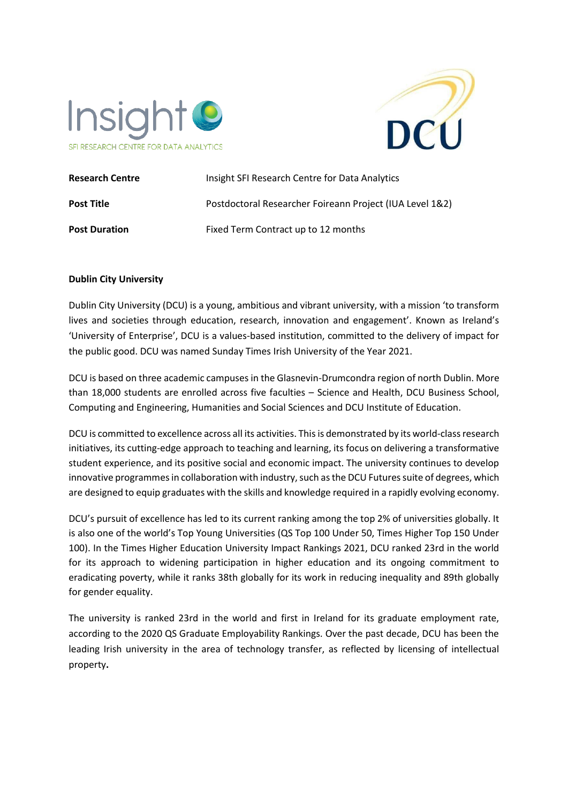



| <b>Research Centre</b> | Insight SFI Research Centre for Data Analytics           |
|------------------------|----------------------------------------------------------|
| <b>Post Title</b>      | Postdoctoral Researcher Foireann Project (IUA Level 1&2) |
| <b>Post Duration</b>   | Fixed Term Contract up to 12 months                      |

### **Dublin City University**

Dublin City University (DCU) is a young, ambitious and vibrant university, with a mission 'to transform lives and societies through education, research, innovation and engagement'. Known as Ireland's 'University of Enterprise', DCU is a values-based institution, committed to the delivery of impact for the public good. DCU was named Sunday Times Irish University of the Year 2021.

DCU is based on three academic campuses in the Glasnevin-Drumcondra region of north Dublin. More than 18,000 students are enrolled across five faculties – Science and Health, DCU Business School, Computing and Engineering, Humanities and Social Sciences and DCU Institute of Education.

DCU is committed to excellence across all its activities. This is demonstrated by its world-class research initiatives, its cutting-edge approach to teaching and learning, its focus on delivering a transformative student experience, and its positive social and economic impact. The university continues to develop innovative programmes in collaboration with industry, such as the DCU Futures suite of degrees, which are designed to equip graduates with the skills and knowledge required in a rapidly evolving economy.

DCU's pursuit of excellence has led to its current ranking among the top 2% of universities globally. It is also one of the world's Top Young Universities (QS Top 100 Under 50, Times Higher Top 150 Under 100). In the Times Higher Education University Impact Rankings 2021, DCU ranked 23rd in the world for its approach to widening participation in higher education and its ongoing commitment to eradicating poverty, while it ranks 38th globally for its work in reducing inequality and 89th globally for gender equality.

The university is ranked 23rd in the world and first in Ireland for its graduate employment rate, according to the 2020 QS Graduate Employability Rankings. Over the past decade, DCU has been the leading Irish university in the area of technology transfer, as reflected by licensing of intellectual property**.**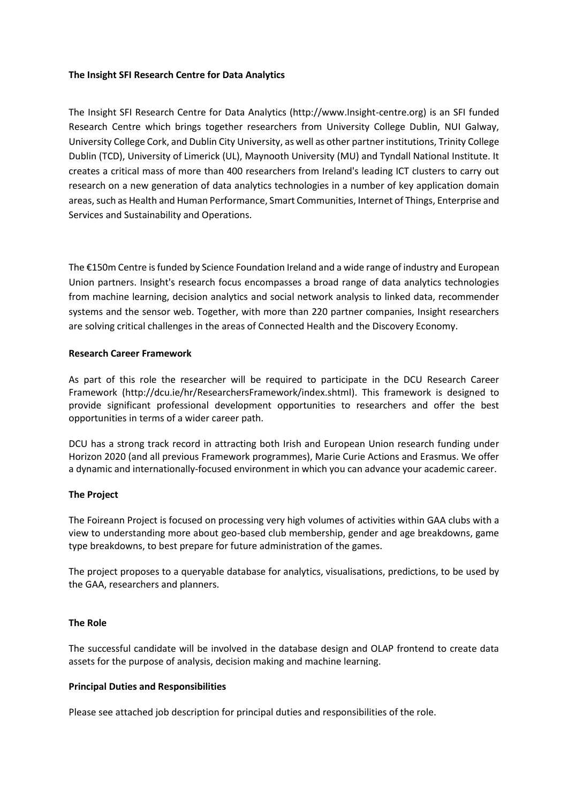### **The Insight SFI Research Centre for Data Analytics**

The Insight SFI Research Centre for Data Analytics (http://www.Insight-centre.org) is an SFI funded Research Centre which brings together researchers from University College Dublin, NUI Galway, University College Cork, and Dublin City University, as well as other partner institutions, Trinity College Dublin (TCD), University of Limerick (UL), Maynooth University (MU) and Tyndall National Institute. It creates a critical mass of more than 400 researchers from Ireland's leading ICT clusters to carry out research on a new generation of data analytics technologies in a number of key application domain areas, such as Health and Human Performance, Smart Communities, Internet of Things, Enterprise and Services and Sustainability and Operations.

The €150m Centre is funded by Science Foundation Ireland and a wide range of industry and European Union partners. Insight's research focus encompasses a broad range of data analytics technologies from machine learning, decision analytics and social network analysis to linked data, recommender systems and the sensor web. Together, with more than 220 partner companies, Insight researchers are solving critical challenges in the areas of Connected Health and the Discovery Economy.

# **Research Career Framework**

As part of this role the researcher will be required to participate in the DCU Research Career Framework [\(http://dcu.ie/hr/ResearchersFramework/index.shtml\)](http://dcu.ie/hr/ResearchersFramework/index.shtml). This framework is designed to provide significant professional development opportunities to researchers and offer the best opportunities in terms of a wider career path.

DCU has a strong track record in attracting both Irish and European Union research funding under Horizon 2020 (and all previous Framework programmes), Marie Curie Actions and Erasmus. We offer a dynamic and internationally-focused environment in which you can advance your academic career.

### **The Project**

The Foireann Project is focused on processing very high volumes of activities within GAA clubs with a view to understanding more about geo-based club membership, gender and age breakdowns, game type breakdowns, to best prepare for future administration of the games.

The project proposes to a queryable database for analytics, visualisations, predictions, to be used by the GAA, researchers and planners.

### **The Role**

The successful candidate will be involved in the database design and OLAP frontend to create data assets for the purpose of analysis, decision making and machine learning.

### **Principal Duties and Responsibilities**

Please see attached job description for principal duties and responsibilities of the role.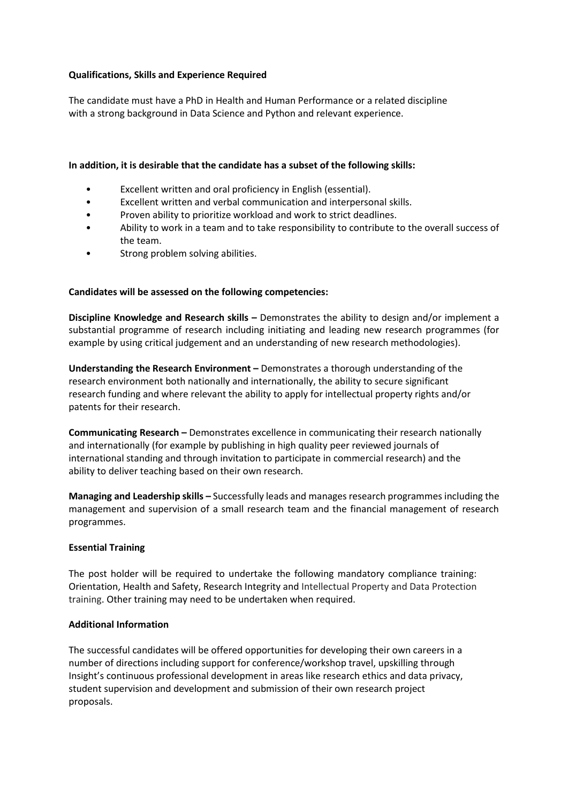# **Qualifications, Skills and Experience Required**

The candidate must have a PhD in Health and Human Performance or a related discipline with a strong background in Data Science and Python and relevant experience.

## **In addition, it is desirable that the candidate has a subset of the following skills:**

- Excellent written and oral proficiency in English (essential).
- Excellent written and verbal communication and interpersonal skills.
- Proven ability to prioritize workload and work to strict deadlines.
- Ability to work in a team and to take responsibility to contribute to the overall success of the team.
- Strong problem solving abilities.

### **Candidates will be assessed on the following competencies:**

**Discipline Knowledge and Research skills –** Demonstrates the ability to design and/or implement a substantial programme of research including initiating and leading new research programmes (for example by using critical judgement and an understanding of new research methodologies).

**Understanding the Research Environment –** Demonstrates a thorough understanding of the research environment both nationally and internationally, the ability to secure significant research funding and where relevant the ability to apply for intellectual property rights and/or patents for their research.

**Communicating Research –** Demonstrates excellence in communicating their research nationally and internationally (for example by publishing in high quality peer reviewed journals of international standing and through invitation to participate in commercial research) and the ability to deliver teaching based on their own research.

**Managing and Leadership skills –** Successfully leads and manages research programmes including the management and supervision of a small research team and the financial management of research programmes.

### **Essential Training**

The post holder will be required to undertake the following mandatory compliance training: Orientation, Health and Safety, Research Integrity and Intellectual Property and Data Protection training. Other training may need to be undertaken when required.

### **Additional Information**

The successful candidates will be offered opportunities for developing their own careers in a number of directions including support for conference/workshop travel, upskilling through Insight's continuous professional development in areas like research ethics and data privacy, student supervision and development and submission of their own research project proposals.